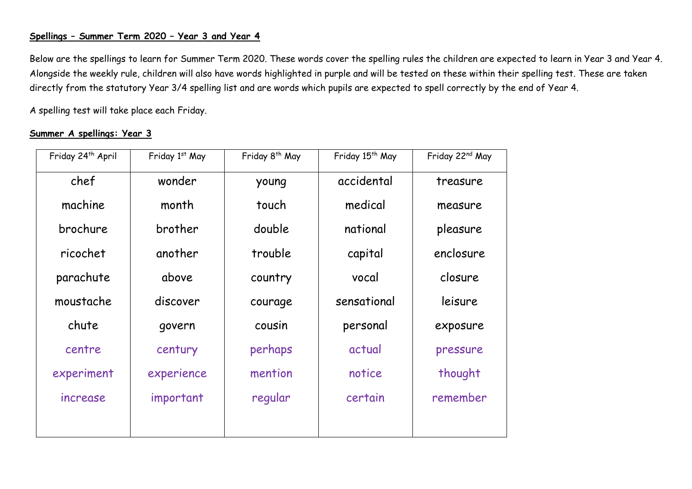## **Spellings – Summer Term 2020 – Year 3 and Year 4**

Below are the spellings to learn for Summer Term 2020. These words cover the spelling rules the children are expected to learn in Year 3 and Year 4. Alongside the weekly rule, children will also have words highlighted in purple and will be tested on these within their spelling test. These are taken directly from the statutory Year 3/4 spelling list and are words which pupils are expected to spell correctly by the end of Year 4.

A spelling test will take place each Friday.

## **Summer A spellings: Year 3**

| Friday 24 <sup>th</sup> April | Friday 1st May | Friday 8 <sup>th</sup> May | Friday 15 <sup>th</sup> May | Friday 22 <sup>nd</sup> May |
|-------------------------------|----------------|----------------------------|-----------------------------|-----------------------------|
| chef                          | wonder         | young                      | accidental                  | treasure                    |
| machine                       | month          | touch                      | medical                     | measure                     |
| brochure                      | brother        | double                     | national                    | pleasure                    |
| ricochet                      | another        | trouble                    | capital                     | enclosure                   |
| parachute                     | above          | country                    | vocal                       | closure                     |
| moustache                     | discover       | courage                    | sensational                 | leisure                     |
| chute                         | govern         | cousin                     | personal                    | exposure                    |
| centre                        | century        | perhaps                    | actual                      | pressure                    |
| experiment                    | experience     | mention                    | notice                      | thought                     |
| increase                      | important      | regular                    | certain                     | remember                    |
|                               |                |                            |                             |                             |